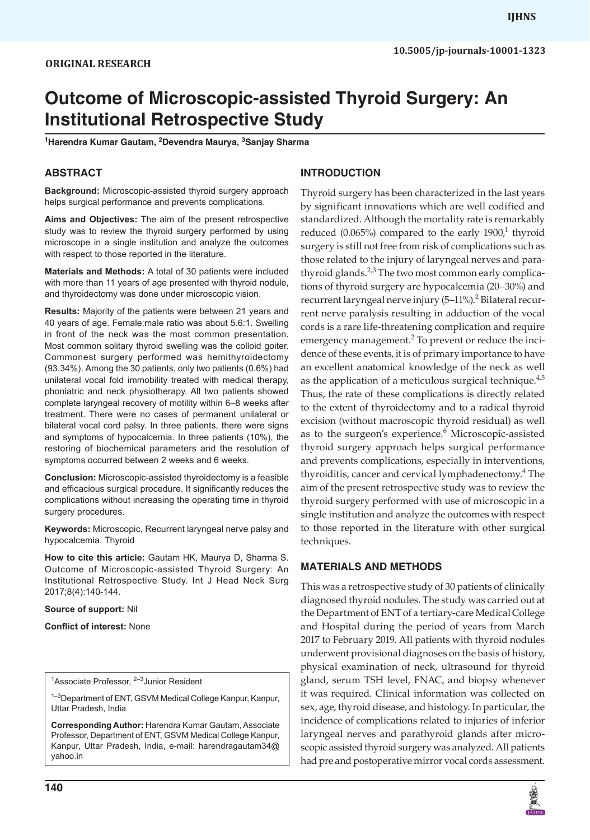# **Outcome of Microscopic-assisted Thyroid Surgery: An Institutional Retrospective Study**

**1 Harendra Kumar Gautam, <sup>2</sup> Devendra Maurya, <sup>3</sup> Sanjay Sharma**

### **ABSTRACT**

**Background:** Microscopic-assisted thyroid surgery approach helps surgical performance and prevents complications.

**Aims and Objectives:** The aim of the present retrospective study was to review the thyroid surgery performed by using microscope in a single institution and analyze the outcomes with respect to those reported in the literature.

**Materials and Methods:** A total of 30 patients were included with more than 11 years of age presented with thyroid nodule, and thyroidectomy was done under microscopic vision.

**Results:** Majority of the patients were between 21 years and 40 years of age. Female:male ratio was about 5.6:1. Swelling in front of the neck was the most common presentation. Most common solitary thyroid swelling was the colloid goiter. Commonest surgery performed was hemithyroidectomy (93.34%). Among the 30 patients, only two patients (0.6%) had unilateral vocal fold immobility treated with medical therapy, phoniatric and neck physiotherapy. All two patients showed complete laryngeal recovery of motility within 6–8 weeks after treatment. There were no cases of permanent unilateral or bilateral vocal cord palsy. In three patients, there were signs and symptoms of hypocalcemia. In three patients (10%), the restoring of biochemical parameters and the resolution of symptoms occurred between 2 weeks and 6 weeks.

**Conclusion:** Microscopic-assisted thyroidectomy is a feasible and efficacious surgical procedure. It significantly reduces the complications without increasing the operating time in thyroid surgery procedures.

**Keywords:** Microscopic, Recurrent laryngeal nerve palsy and hypocalcemia, Thyroid

**How to cite this article:** Gautam HK, Maurya D, Sharma S. Outcome of Microscopic-assisted Thyroid Surgery: An Institutional Retrospective Study. Int J Head Neck Surg 2017;8(4):140-144.

**Source of support:** Nil

**Conflict of interest:** None

<sup>1-3</sup>Department of ENT, GSVM Medical College Kanpur, Kanpur, Uttar Pradesh, India

**Corresponding Author:** Harendra Kumar Gautam, Associate Professor, Department of ENT, GSVM Medical College Kanpur, Kanpur, Uttar Pradesh, India, e-mail: harendragautam34@ yahoo.in

#### **INTRODUCTION**

Thyroid surgery has been characterized in the last years by significant innovations which are well codified and standardized. Although the mortality rate is remarkably reduced  $(0.065%)$  compared to the early  $1900<sup>1</sup>$  thyroid surgery is still not free from risk of complications such as those related to the injury of laryngeal nerves and parathyroid glands.<sup>2,3</sup> The two most common early complications of thyroid surgery are hypocalcemia (20–30%) and recurrent laryngeal nerve injury (5–11%).<sup>2</sup> Bilateral recurrent nerve paralysis resulting in adduction of the vocal cords is a rare life-threatening complication and require emergency management.<sup>2</sup> To prevent or reduce the incidence of these events, it is of primary importance to have an excellent anatomical knowledge of the neck as well as the application of a meticulous surgical technique. $4,5$ Thus, the rate of these complications is directly related to the extent of thyroidectomy and to a radical thyroid excision (without macroscopic thyroid residual) as well as to the surgeon's experience.<sup>6</sup> Microscopic-assisted thyroid surgery approach helps surgical performance and prevents complications, especially in interventions, thyroiditis, cancer and cervical lymphadenectomy.<sup>4</sup> The aim of the present retrospective study was to review the thyroid surgery performed with use of microscopic in a single institution and analyze the outcomes with respect to those reported in the literature with other surgical techniques.

### **MATERIALS AND METHODS**

This was a retrospective study of 30 patients of clinically diagnosed thyroid nodules. The study was carried out at the Department of ENT of a tertiary-care Medical College and Hospital during the period of years from March 2017 to February 2019. All patients with thyroid nodules underwent provisional diagnoses on the basis of history, physical examination of neck, ultrasound for thyroid gland, serum TSH level, FNAC, and biopsy whenever it was required. Clinical information was collected on sex, age, thyroid disease, and histology. In particular, the incidence of complications related to injuries of inferior laryngeal nerves and parathyroid glands after microscopic assisted thyroid surgery was analyzed. All patients had pre and postoperative mirror vocal cords assessment.



<sup>&</sup>lt;sup>1</sup>Associate Professor, <sup>2–3</sup>Junior Resident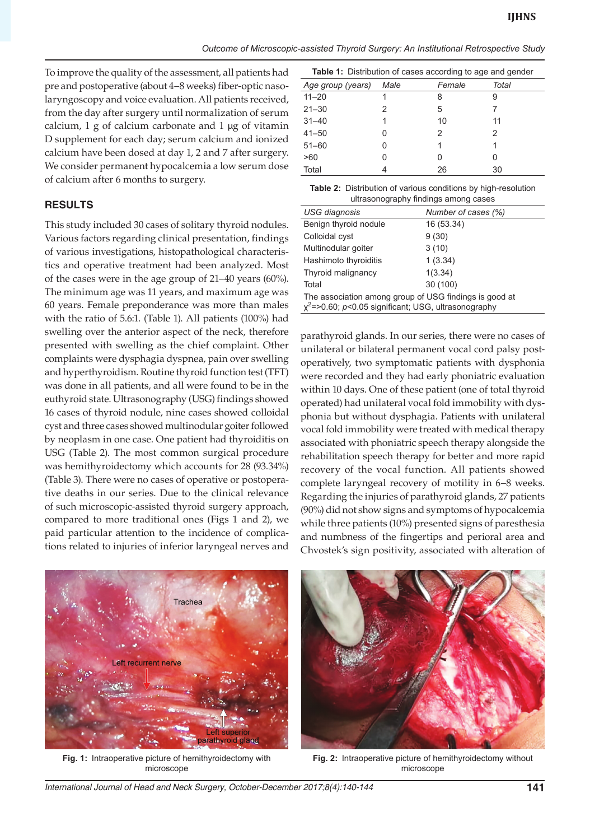To improve the quality of the assessment, all patients had pre and postoperative (about 4–8 weeks) fiber-optic nasolaryngoscopy and voice evaluation. All patients received, from the day after surgery until normalization of serum calcium, 1 g of calcium carbonate and 1 μg of vitamin D supplement for each day; serum calcium and ionized calcium have been dosed at day 1, 2 and 7 after surgery. We consider permanent hypocalcemia a low serum dose of calcium after 6 months to surgery.

#### **RESULTS**

This study included 30 cases of solitary thyroid nodules. Various factors regarding clinical presentation, findings of various investigations, histopathological characteristics and operative treatment had been analyzed. Most of the cases were in the age group of 21–40 years (60%). The minimum age was 11 years, and maximum age was 60 years. Female preponderance was more than males with the ratio of 5.6:1. (Table 1). All patients (100%) had swelling over the anterior aspect of the neck, therefore presented with swelling as the chief complaint. Other complaints were dysphagia dyspnea, pain over swelling and hyperthyroidism. Routine thyroid function test (TFT) was done in all patients, and all were found to be in the euthyroid state. Ultrasonography (USG) findings showed 16 cases of thyroid nodule, nine cases showed colloidal cyst and three cases showed multinodular goiter followed by neoplasm in one case. One patient had thyroiditis on USG (Table 2). The most common surgical procedure was hemithyroidectomy which accounts for 28 (93.34%) (Table 3). There were no cases of operative or postoperative deaths in our series. Due to the clinical relevance of such microscopic-assisted thyroid surgery approach, compared to more traditional ones (Figs 1 and 2), we paid particular attention to the incidence of complications related to injuries of inferior laryngeal nerves and

| <b>Table 1:</b> Distribution of cases according to age and gender |      |        |       |  |  |
|-------------------------------------------------------------------|------|--------|-------|--|--|
| Age group (years)                                                 | Male | Female | Total |  |  |
| $11 - 20$                                                         |      | 8      | 9     |  |  |
| $21 - 30$                                                         | 2    | 5      |       |  |  |
| $31 - 40$                                                         |      | 10     | 11    |  |  |
| $41 - 50$                                                         |      | 2      | 2     |  |  |
| $51 - 60$                                                         |      | 1      |       |  |  |
| >60                                                               |      | O      | 0     |  |  |
| Total                                                             |      | 26     | 30    |  |  |

**Table 2:** Distribution of various conditions by high-resolution ultrasonography findings among cases

| and about our apity thraings antiony capped                                                                      |  |  |  |  |
|------------------------------------------------------------------------------------------------------------------|--|--|--|--|
| Number of cases (%)                                                                                              |  |  |  |  |
| 16 (53.34)                                                                                                       |  |  |  |  |
| 9(30)                                                                                                            |  |  |  |  |
| 3(10)                                                                                                            |  |  |  |  |
| 1(3.34)                                                                                                          |  |  |  |  |
| 1(3.34)                                                                                                          |  |  |  |  |
| 30 (100)                                                                                                         |  |  |  |  |
| The association among group of USG findings is good at<br>$x^2$ =>0.60; p<0.05 significant; USG, ultrasonography |  |  |  |  |
|                                                                                                                  |  |  |  |  |

parathyroid glands. In our series, there were no cases of unilateral or bilateral permanent vocal cord palsy postoperatively, two symptomatic patients with dysphonia were recorded and they had early phoniatric evaluation within 10 days. One of these patient (one of total thyroid operated) had unilateral vocal fold immobility with dysphonia but without dysphagia. Patients with unilateral vocal fold immobility were treated with medical therapy associated with phoniatric speech therapy alongside the rehabilitation speech therapy for better and more rapid recovery of the vocal function. All patients showed complete laryngeal recovery of motility in 6–8 weeks. Regarding the injuries of parathyroid glands, 27 patients (90%) did not show signs and symptoms of hypocalcemia while three patients (10%) presented signs of paresthesia and numbness of the fingertips and perioral area and Chvostek's sign positivity, associated with alteration of



**Fig. 1:** Intraoperative picture of hemithyroidectomy with microscope



**Fig. 2:** Intraoperative picture of hemithyroidectomy without microscope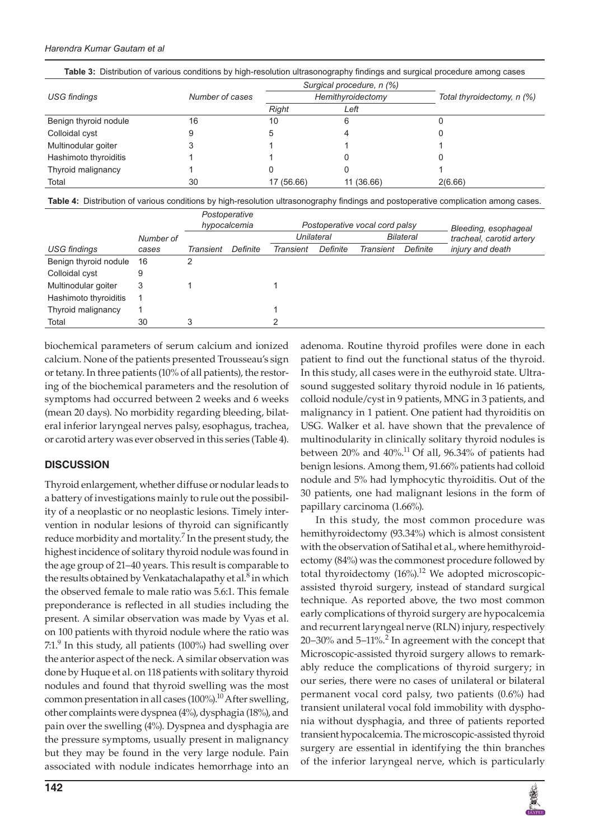#### *Harendra Kumar Gautam et al*

| <b>Table of Distribution of various conditions by high-resolution altrasolography illiumgs and surgical procedure among cases</b> |                 |            |                           |                            |  |  |
|-----------------------------------------------------------------------------------------------------------------------------------|-----------------|------------|---------------------------|----------------------------|--|--|
|                                                                                                                                   |                 |            | Surgical procedure, n (%) |                            |  |  |
| <b>USG</b> findings                                                                                                               | Number of cases |            | Hemithyroidectomy         | Total thyroidectomy, n (%) |  |  |
|                                                                                                                                   |                 | Right      | Left                      |                            |  |  |
| Benign thyroid nodule                                                                                                             | 16              | 10         |                           |                            |  |  |
| Colloidal cyst                                                                                                                    |                 |            |                           |                            |  |  |
| Multinodular goiter                                                                                                               |                 |            |                           |                            |  |  |
| Hashimoto thyroiditis                                                                                                             |                 |            |                           |                            |  |  |
| Thyroid malignancy                                                                                                                |                 |            |                           |                            |  |  |
| Total                                                                                                                             | 30              | 17 (56.66) | 11 (36.66)                | 2(6.66)                    |  |  |

Table 3: Distribution of various conditions by high-resolution ultrasonography findings and surgical procedure among cases

**Table 4:** Distribution of various conditions by high-resolution ultrasonography findings and postoperative complication among cases.

|                       |           | Postoperative<br>hypocalcemia |          | Postoperative vocal cord palsy |          |                  | Bleeding, esophageal |                          |
|-----------------------|-----------|-------------------------------|----------|--------------------------------|----------|------------------|----------------------|--------------------------|
|                       | Number of |                               |          | Unilateral                     |          | <b>Bilateral</b> |                      | tracheal, carotid artery |
| <b>USG</b> findings   | cases     | <b>Transient</b>              | Definite | Transient                      | Definite | Transient        | Definite             | injury and death         |
| Benign thyroid nodule | 16        | 2                             |          |                                |          |                  |                      |                          |
| Colloidal cyst        | 9         |                               |          |                                |          |                  |                      |                          |
| Multinodular goiter   | 3         |                               |          |                                |          |                  |                      |                          |
| Hashimoto thyroiditis |           |                               |          |                                |          |                  |                      |                          |
| Thyroid malignancy    |           |                               |          |                                |          |                  |                      |                          |
| Total                 | 30        | 3                             |          |                                |          |                  |                      |                          |

biochemical parameters of serum calcium and ionized calcium. None of the patients presented Trousseau's sign or tetany. In three patients (10% of all patients), the restoring of the biochemical parameters and the resolution of symptoms had occurred between 2 weeks and 6 weeks (mean 20 days). No morbidity regarding bleeding, bilateral inferior laryngeal nerves palsy, esophagus, trachea, or carotid artery was ever observed in this series (Table 4).

#### **DISCUSSION**

Thyroid enlargement, whether diffuse or nodular leads to a battery of investigations mainly to rule out the possibility of a neoplastic or no neoplastic lesions. Timely intervention in nodular lesions of thyroid can significantly reduce morbidity and mortality.<sup>7</sup> In the present study, the highest incidence of solitary thyroid nodule was found in the age group of 21–40 years. This result is comparable to the results obtained by Venkatachalapathy et al.<sup>8</sup> in which the observed female to male ratio was 5.6:1. This female preponderance is reflected in all studies including the present. A similar observation was made by Vyas et al. on 100 patients with thyroid nodule where the ratio was  $7.1<sup>9</sup>$  In this study, all patients (100%) had swelling over the anterior aspect of the neck. A similar observation was done by Huque et al. on 118 patients with solitary thyroid nodules and found that thyroid swelling was the most common presentation in all cases  $(100\%)$ .<sup>10</sup> After swelling, other complaints were dyspnea (4%), dysphagia (18%), and pain over the swelling (4%). Dyspnea and dysphagia are the pressure symptoms, usually present in malignancy but they may be found in the very large nodule. Pain associated with nodule indicates hemorrhage into an

adenoma. Routine thyroid profiles were done in each patient to find out the functional status of the thyroid. In this study, all cases were in the euthyroid state. Ultrasound suggested solitary thyroid nodule in 16 patients, colloid nodule/cyst in 9 patients, MNG in 3 patients, and malignancy in 1 patient. One patient had thyroiditis on USG. Walker et al. have shown that the prevalence of multinodularity in clinically solitary thyroid nodules is between  $20\%$  and  $40\%$ .<sup>11</sup> Of all, 96.34% of patients had benign lesions. Among them, 91.66% patients had colloid nodule and 5% had lymphocytic thyroiditis. Out of the 30 patients, one had malignant lesions in the form of papillary carcinoma (1.66%).

In this study, the most common procedure was hemithyroidectomy (93.34%) which is almost consistent with the observation of Satihal et al., where hemithyroidectomy (84%) was the commonest procedure followed by total thyroidectomy  $(16%)$ .<sup>12</sup> We adopted microscopicassisted thyroid surgery, instead of standard surgical technique. As reported above, the two most common early complications of thyroid surgery are hypocalcemia and recurrent laryngeal nerve (RLN) injury, respectively  $20-30\%$  and  $5-11\%$ <sup>2</sup> In agreement with the concept that Microscopic-assisted thyroid surgery allows to remarkably reduce the complications of thyroid surgery; in our series, there were no cases of unilateral or bilateral permanent vocal cord palsy, two patients (0.6%) had transient unilateral vocal fold immobility with dysphonia without dysphagia, and three of patients reported transient hypocalcemia. The microscopic-assisted thyroid surgery are essential in identifying the thin branches of the inferior laryngeal nerve, which is particularly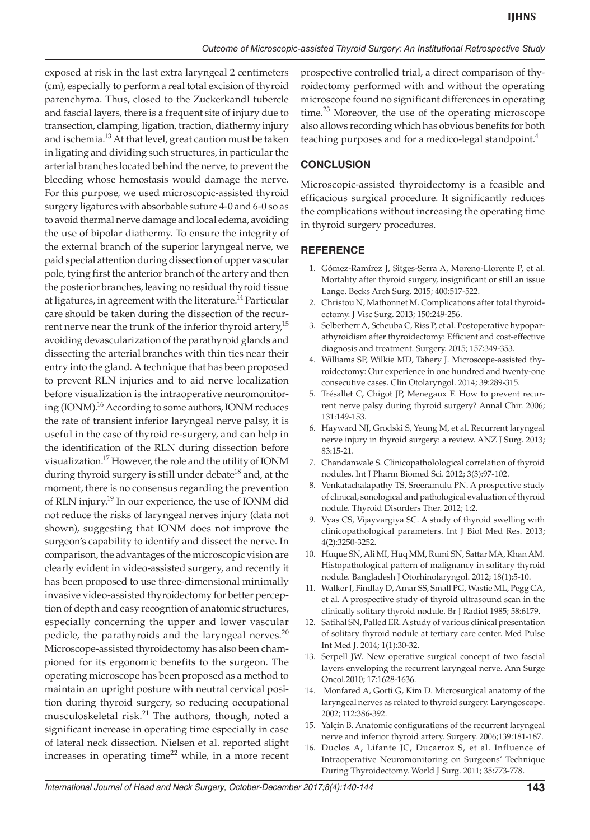exposed at risk in the last extra laryngeal 2 centimeters (cm), especially to perform a real total excision of thyroid parenchyma. Thus, closed to the Zuckerkandl tubercle and fascial layers, there is a frequent site of injury due to transection, clamping, ligation, traction, diathermy injury and ischemia.<sup>13</sup> At that level, great caution must be taken in ligating and dividing such structures, in particular the arterial branches located behind the nerve, to prevent the bleeding whose hemostasis would damage the nerve. For this purpose, we used microscopic-assisted thyroid surgery ligatures with absorbable suture 4-0 and 6-0 so as to avoid thermal nerve damage and local edema, avoiding the use of bipolar diathermy. To ensure the integrity of the external branch of the superior laryngeal nerve, we paid special attention during dissection of upper vascular pole, tying first the anterior branch of the artery and then the posterior branches, leaving no residual thyroid tissue at ligatures, in agreement with the literature.<sup>14</sup> Particular care should be taken during the dissection of the recurrent nerve near the trunk of the inferior thyroid artery,<sup>15</sup> avoiding devascularization of the parathyroid glands and dissecting the arterial branches with thin ties near their entry into the gland. A technique that has been proposed to prevent RLN injuries and to aid nerve localization before visualization is the intraoperative neuromonitoring (IONM).<sup>16</sup> According to some authors, IONM reduces the rate of transient inferior laryngeal nerve palsy, it is useful in the case of thyroid re-surgery, and can help in the identification of the RLN during dissection before visualization.17 However, the role and the utility of IONM during thyroid surgery is still under debate<sup>18</sup> and, at the moment, there is no consensus regarding the prevention of RLN injury.<sup>19</sup> In our experience, the use of IONM did not reduce the risks of laryngeal nerves injury (data not shown), suggesting that IONM does not improve the surgeon's capability to identify and dissect the nerve. In comparison, the advantages of the microscopic vision are clearly evident in video-assisted surgery, and recently it has been proposed to use three-dimensional minimally invasive video-assisted thyroidectomy for better perception of depth and easy recogntion of anatomic structures, especially concerning the upper and lower vascular pedicle, the parathyroids and the laryngeal nerves.<sup>20</sup> Microscope-assisted thyroidectomy has also been championed for its ergonomic benefits to the surgeon. The operating microscope has been proposed as a method to maintain an upright posture with neutral cervical position during thyroid surgery, so reducing occupational musculoskeletal risk.<sup>21</sup> The authors, though, noted a significant increase in operating time especially in case of lateral neck dissection. Nielsen et al. reported slight increases in operating time<sup>22</sup> while, in a more recent prospective controlled trial, a direct comparison of thyroidectomy performed with and without the operating microscope found no significant differences in operating time.<sup>23</sup> Moreover, the use of the operating microscope also allows recording which has obvious benefits for both teaching purposes and for a medico-legal standpoint.<sup>4</sup>

# **CONCLUSION**

Microscopic-assisted thyroidectomy is a feasible and efficacious surgical procedure. It significantly reduces the complications without increasing the operating time in thyroid surgery procedures.

## **REFERENCE**

- 1. Gómez-Ramírez J, Sitges-Serra A, Moreno-Llorente P, et al. Mortality after thyroid surgery, insignificant or still an issue Lange. Becks Arch Surg. 2015; 400:517-522.
- 2. Christou N, Mathonnet M. Complications after total thyroidectomy. J Visc Surg. 2013; 150:249-256.
- 3. Selberherr A, Scheuba C, Riss P, et al. Postoperative hypoparathyroidism after thyroidectomy: Efficient and cost-effective diagnosis and treatment. Surgery. 2015; 157:349-353.
- 4. Williams SP, Wilkie MD, Tahery J. Microscope-assisted thyroidectomy: Our experience in one hundred and twenty-one consecutive cases. Clin Otolaryngol. 2014; 39:289-315.
- 5. Trésallet C, Chigot JP, Menegaux F. How to prevent recurrent nerve palsy during thyroid surgery? Annal Chir. 2006; 131:149-153.
- 6. Hayward NJ, Grodski S, Yeung M, et al. Recurrent laryngeal nerve injury in thyroid surgery: a review. ANZ J Surg. 2013; 83:15-21.
- 7. Chandanwale S. Clinicopatholological correlation of thyroid nodules. Int J Pharm Biomed Sci. 2012; 3(3):97-102.
- 8. Venkatachalapathy TS, Sreeramulu PN. A prospective study of clinical, sonological and pathological evaluation of thyroid nodule. Thyroid Disorders Ther. 2012; 1:2.
- 9. Vyas CS, Vijayvargiya SC. A study of thyroid swelling with clinicopathological parameters. Int J Biol Med Res. 2013; 4(2):3250-3252.
- 10. Huque SN, Ali MI, Huq MM, Rumi SN, Sattar MA, Khan AM. Histopathological pattern of malignancy in solitary thyroid nodule. Bangladesh J Otorhinolaryngol. 2012; 18(1):5-10.
- 11. Walker J, Findlay D, Amar SS, Small PG, Wastie ML, Pegg CA, et al. A prospective study of thyroid ultrasound scan in the clinically solitary thyroid nodule. Br J Radiol 1985; 58:6179.
- 12. Satihal SN, Palled ER. A study of various clinical presentation of solitary thyroid nodule at tertiary care center. Med Pulse Int Med J. 2014; 1(1):30-32.
- 13. Serpell JW. New operative surgical concept of two fascial layers enveloping the recurrent laryngeal nerve. Ann Surge Oncol.2010; 17:1628-1636.
- 14. Monfared A, Gorti G, Kim D. Microsurgical anatomy of the laryngeal nerves as related to thyroid surgery. Laryngoscope. 2002; 112:386-392.
- 15. Yalçin B. Anatomic configurations of the recurrent laryngeal nerve and inferior thyroid artery. Surgery. 2006;139:181-187.
- 16. Duclos A, Lifante JC, Ducarroz S, et al. Influence of Intraoperative Neuromonitoring on Surgeons' Technique During Thyroidectomy. World J Surg. 2011; 35:773-778.